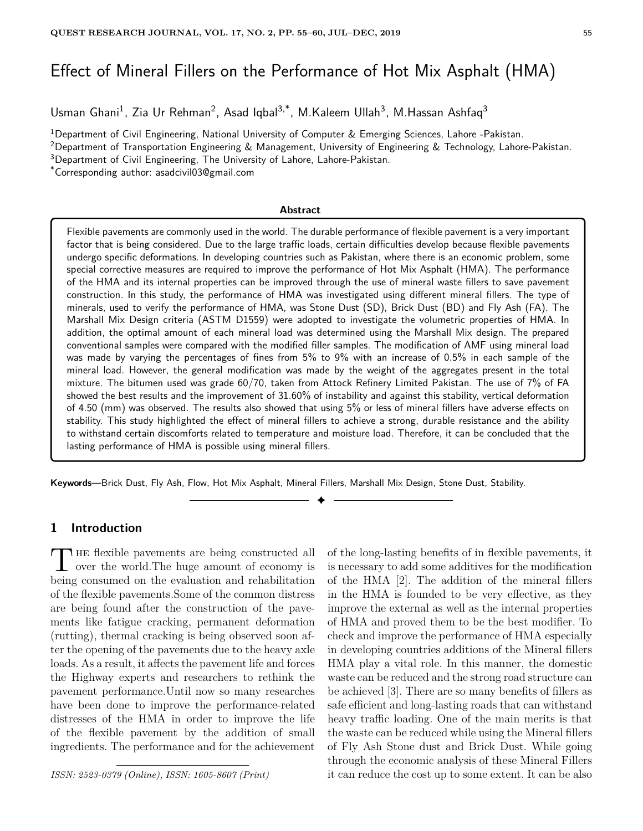# Effect of Mineral Fillers on the Performance of Hot Mix Asphalt (HMA)

Usman Ghani<sup>1</sup>, Zia Ur Rehman<sup>2</sup>, Asad Iqbal<sup>3,\*</sup>, M.Kaleem Ullah<sup>3</sup>, M.Hassan Ashfaq<sup>3</sup>

<sup>1</sup>Department of Civil Engineering, National University of Computer & Emerging Sciences, Lahore -Pakistan.

<sup>2</sup>Department of Transportation Engineering & Management, University of Engineering & Technology, Lahore-Pakistan.

<sup>3</sup>Department of Civil Engineering, The University of Lahore, Lahore-Pakistan.

\*Corresponding author: asadcivil03@gmail.com

#### **Abstract**

Flexible pavements are commonly used in the world. The durable performance of flexible pavement is a very important factor that is being considered. Due to the large traffic loads, certain difficulties develop because flexible pavements undergo specific deformations. In developing countries such as Pakistan, where there is an economic problem, some special corrective measures are required to improve the performance of Hot Mix Asphalt (HMA). The performance of the HMA and its internal properties can be improved through the use of mineral waste fillers to save pavement construction. In this study, the performance of HMA was investigated using different mineral fillers. The type of minerals, used to verify the performance of HMA, was Stone Dust (SD), Brick Dust (BD) and Fly Ash (FA). The Marshall Mix Design criteria (ASTM D1559) were adopted to investigate the volumetric properties of HMA. In addition, the optimal amount of each mineral load was determined using the Marshall Mix design. The prepared conventional samples were compared with the modified filler samples. The modification of AMF using mineral load was made by varying the percentages of fines from 5% to 9% with an increase of 0.5% in each sample of the mineral load. However, the general modification was made by the weight of the aggregates present in the total mixture. The bitumen used was grade 60/70, taken from Attock Refinery Limited Pakistan. The use of 7% of FA showed the best results and the improvement of 31.60% of instability and against this stability, vertical deformation of 4.50 (mm) was observed. The results also showed that using 5% or less of mineral fillers have adverse effects on stability. This study highlighted the effect of mineral fillers to achieve a strong, durable resistance and the ability to withstand certain discomforts related to temperature and moisture load. Therefore, it can be concluded that the lasting performance of HMA is possible using mineral fillers.

✦

**Keywords**—Brick Dust, Fly Ash, Flow, Hot Mix Asphalt, Mineral Fillers, Marshall Mix Design, Stone Dust, Stability.

# **1 Introduction**

The flexible pavements are being constructed all<br>over the world. The huge amount of economy is **HE** flexible pavements are being constructed all being consumed on the evaluation and rehabilitation of the flexible pavements.Some of the common distress are being found after the construction of the pavements like fatigue cracking, permanent deformation (rutting), thermal cracking is being observed soon after the opening of the pavements due to the heavy axle loads. As a result, it affects the pavement life and forces the Highway experts and researchers to rethink the pavement performance.Until now so many researches have been done to improve the performance-related distresses of the HMA in order to improve the life of the flexible pavement by the addition of small ingredients. The performance and for the achievement

*ISSN: 2523-0379 (Online), ISSN: 1605-8607 (Print)*

of the long-lasting benefits of in flexible pavements, it is necessary to add some additives for the modification of the HMA [2]. The addition of the mineral fillers in the HMA is founded to be very effective, as they improve the external as well as the internal properties of HMA and proved them to be the best modifier. To check and improve the performance of HMA especially in developing countries additions of the Mineral fillers HMA play a vital role. In this manner, the domestic waste can be reduced and the strong road structure can be achieved [3]. There are so many benefits of fillers as safe efficient and long-lasting roads that can withstand heavy traffic loading. One of the main merits is that the waste can be reduced while using the Mineral fillers of Fly Ash Stone dust and Brick Dust. While going through the economic analysis of these Mineral Fillers it can reduce the cost up to some extent. It can be also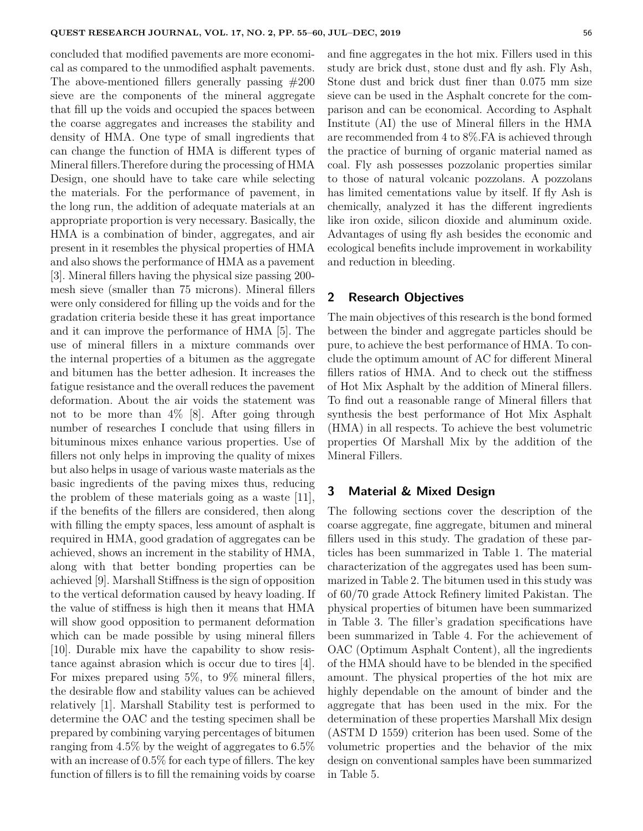concluded that modified pavements are more economical as compared to the unmodified asphalt pavements. The above-mentioned fillers generally passing #200 sieve are the components of the mineral aggregate that fill up the voids and occupied the spaces between the coarse aggregates and increases the stability and density of HMA. One type of small ingredients that can change the function of HMA is different types of Mineral fillers.Therefore during the processing of HMA Design, one should have to take care while selecting the materials. For the performance of pavement, in the long run, the addition of adequate materials at an appropriate proportion is very necessary. Basically, the HMA is a combination of binder, aggregates, and air present in it resembles the physical properties of HMA and also shows the performance of HMA as a pavement [3]. Mineral fillers having the physical size passing 200 mesh sieve (smaller than 75 microns). Mineral fillers were only considered for filling up the voids and for the gradation criteria beside these it has great importance and it can improve the performance of HMA [5]. The use of mineral fillers in a mixture commands over the internal properties of a bitumen as the aggregate and bitumen has the better adhesion. It increases the fatigue resistance and the overall reduces the pavement deformation. About the air voids the statement was not to be more than 4% [8]. After going through number of researches I conclude that using fillers in bituminous mixes enhance various properties. Use of fillers not only helps in improving the quality of mixes but also helps in usage of various waste materials as the basic ingredients of the paving mixes thus, reducing the problem of these materials going as a waste [11], if the benefits of the fillers are considered, then along with filling the empty spaces, less amount of asphalt is required in HMA, good gradation of aggregates can be achieved, shows an increment in the stability of HMA, along with that better bonding properties can be achieved [9]. Marshall Stiffness is the sign of opposition to the vertical deformation caused by heavy loading. If the value of stiffness is high then it means that HMA will show good opposition to permanent deformation which can be made possible by using mineral fillers [10]. Durable mix have the capability to show resistance against abrasion which is occur due to tires [4]. For mixes prepared using 5%, to 9% mineral fillers, the desirable flow and stability values can be achieved relatively [1]. Marshall Stability test is performed to determine the OAC and the testing specimen shall be prepared by combining varying percentages of bitumen ranging from 4.5% by the weight of aggregates to 6.5% with an increase of 0.5% for each type of fillers. The key function of fillers is to fill the remaining voids by coarse and fine aggregates in the hot mix. Fillers used in this study are brick dust, stone dust and fly ash. Fly Ash, Stone dust and brick dust finer than 0.075 mm size sieve can be used in the Asphalt concrete for the comparison and can be economical. According to Asphalt Institute (AI) the use of Mineral fillers in the HMA are recommended from 4 to 8%.FA is achieved through the practice of burning of organic material named as coal. Fly ash possesses pozzolanic properties similar to those of natural volcanic pozzolans. A pozzolans has limited cementations value by itself. If fly Ash is chemically, analyzed it has the different ingredients like iron oxide, silicon dioxide and aluminum oxide. Advantages of using fly ash besides the economic and ecological benefits include improvement in workability and reduction in bleeding.

### **2 Research Objectives**

The main objectives of this research is the bond formed between the binder and aggregate particles should be pure, to achieve the best performance of HMA. To conclude the optimum amount of AC for different Mineral fillers ratios of HMA. And to check out the stiffness of Hot Mix Asphalt by the addition of Mineral fillers. To find out a reasonable range of Mineral fillers that synthesis the best performance of Hot Mix Asphalt (HMA) in all respects. To achieve the best volumetric properties Of Marshall Mix by the addition of the Mineral Fillers.

# **3 Material & Mixed Design**

The following sections cover the description of the coarse aggregate, fine aggregate, bitumen and mineral fillers used in this study. The gradation of these particles has been summarized in Table 1. The material characterization of the aggregates used has been summarized in Table 2. The bitumen used in this study was of 60/70 grade Attock Refinery limited Pakistan. The physical properties of bitumen have been summarized in Table 3. The filler's gradation specifications have been summarized in Table 4. For the achievement of OAC (Optimum Asphalt Content), all the ingredients of the HMA should have to be blended in the specified amount. The physical properties of the hot mix are highly dependable on the amount of binder and the aggregate that has been used in the mix. For the determination of these properties Marshall Mix design (ASTM D 1559) criterion has been used. Some of the volumetric properties and the behavior of the mix design on conventional samples have been summarized in Table 5.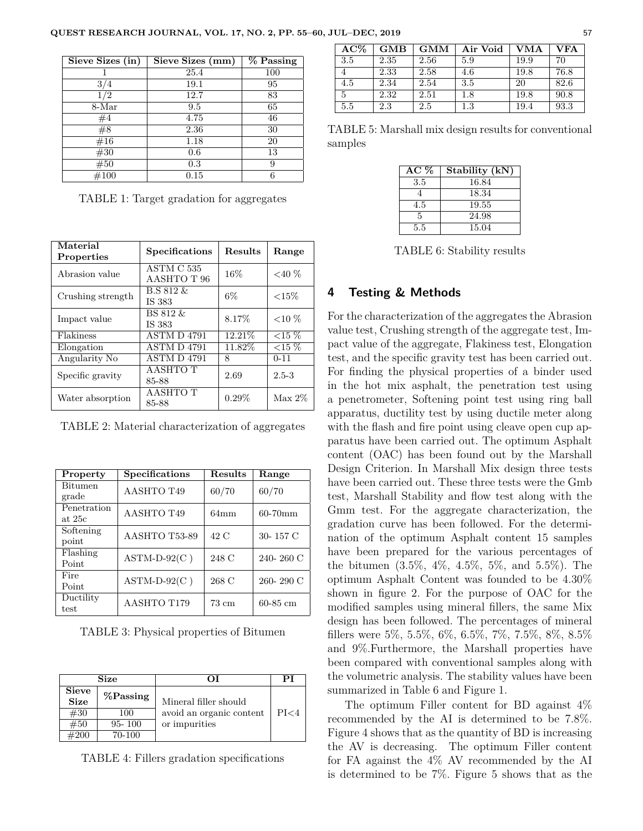| Sieve Sizes (in) | Sieve Sizes (mm) | % Passing |
|------------------|------------------|-----------|
|                  | 25.4             | 100       |
| 3/4              | 19.1             | 95        |
| 1/2              | 12.7             | 83        |
| 8-Mar            | 9.5              | 65        |
| #4               | 4.75             | 46        |
| #8               | 2.36             | 30        |
| #16              | 1.18             | 20        |
| #30              | 0.6              | 13        |
| #50              | 0.3              | 9         |
| #100             | 0.15             | 6         |

TABLE 1: Target gradation for aggregates

| Material<br>Properties | Specifications            | Results  | Range     |
|------------------------|---------------------------|----------|-----------|
| Abrasion value         | ASTM C 535<br>AASHTO T 96 | 16%      | ${<}40\%$ |
| Crushing strength      | B.S 812 &<br>IS 383       | $6\%$    | ${<}15\%$ |
| Impact value           | BS 812 &<br>IS 383        | 8.17%    | ${<}10\%$ |
| Flakiness              | ASTM D 4791               | 12.21\%  | ${<}15\%$ |
| Elongation             | <b>ASTM D 4791</b>        | 11.82%   | ${<}15\%$ |
| Angularity No          | <b>ASTM D 4791</b>        | 8        | $0 - 11$  |
| Specific gravity       | AASHTO T<br>85-88         | 2.69     | $2.5 - 3$ |
| Water absorption       | AASHTO T<br>85-88         | $0.29\%$ | $Max 2\%$ |

TABLE 2: Material characterization of aggregates

| Property       | Specifications | Results         | Range        |  |
|----------------|----------------|-----------------|--------------|--|
| <b>Bitumen</b> | AASHTO T49     | 60/70           | 60/70        |  |
| grade          |                |                 |              |  |
| Penetration    | AASHTO T49     | $64 \text{mm}$  | $60-70$ mm   |  |
| at $25c$       |                |                 |              |  |
| Softening      | AASHTO T53-89  | 42 C            | 30-157 C     |  |
| point          |                |                 |              |  |
| Flashing       | $ASTM-D-92(C)$ | 248 C           | 240-260 C    |  |
| Point          |                |                 |              |  |
| Fire           | $ASTM-D-92(C)$ | 268 C           | 260-290 C    |  |
| Point          |                |                 |              |  |
| Ductility      | AASHTO T179    | $73 \text{ cm}$ | $60 - 85$ cm |  |
| test           |                |                 |              |  |

TABLE 3: Physical properties of Bitumen

| Size                        |             |                          | PІ   |
|-----------------------------|-------------|--------------------------|------|
| <b>Sieve</b><br><b>Size</b> | $%$ Passing | Mineral filler should    |      |
| #30                         | 100         | avoid an organic content | PI<4 |
| #50                         | $95 - 100$  | or impurities            |      |
| #200                        | 70-100      |                          |      |

TABLE 4: Fillers gradation specifications

| $AC\%$ | GMB  | <b>GMM</b> | Air Void | <b>VMA</b> | <b>VFA</b> |
|--------|------|------------|----------|------------|------------|
| 3.5    | 2.35 | 2.56       | 5.9      | 19.9       | 70         |
|        | 2.33 | 2.58       | 4.6      | 19.8       | 76.8       |
| 4.5    | 2.34 | 2.54       | 3.5      | 20         | 82.6       |
| 5      | 2.32 | 2.51       | 1.8      | 19.8       | 90.8       |
| 5.5    | 2.3  | 2.5        | 1.3      | 19.4       | 93.3       |

TABLE 5: Marshall mix design results for conventional samples

| $AC \%$ | Stability (kN) |
|---------|----------------|
| 3.5     | 16.84          |
|         | 18.34          |
| 4.5     | 19.55          |
| 5       | 24.98          |
| 5.5     | 15.04          |

TABLE 6: Stability results

## **4 Testing & Methods**

For the characterization of the aggregates the Abrasion value test, Crushing strength of the aggregate test, Impact value of the aggregate, Flakiness test, Elongation test, and the specific gravity test has been carried out. For finding the physical properties of a binder used in the hot mix asphalt, the penetration test using a penetrometer, Softening point test using ring ball apparatus, ductility test by using ductile meter along with the flash and fire point using cleave open cup apparatus have been carried out. The optimum Asphalt content (OAC) has been found out by the Marshall Design Criterion. In Marshall Mix design three tests have been carried out. These three tests were the Gmb test, Marshall Stability and flow test along with the Gmm test. For the aggregate characterization, the gradation curve has been followed. For the determination of the optimum Asphalt content 15 samples have been prepared for the various percentages of the bitumen (3.5%, 4%, 4.5%, 5%, and 5.5%). The optimum Asphalt Content was founded to be 4.30% shown in figure 2. For the purpose of OAC for the modified samples using mineral fillers, the same Mix design has been followed. The percentages of mineral fillers were 5%, 5.5%, 6%, 6.5%, 7%, 7.5%, 8%, 8.5% and 9%.Furthermore, the Marshall properties have been compared with conventional samples along with the volumetric analysis. The stability values have been summarized in Table 6 and Figure 1.

The optimum Filler content for BD against 4% recommended by the AI is determined to be 7.8%. Figure 4 shows that as the quantity of BD is increasing the AV is decreasing. The optimum Filler content for FA against the 4% AV recommended by the AI is determined to be 7%. Figure 5 shows that as the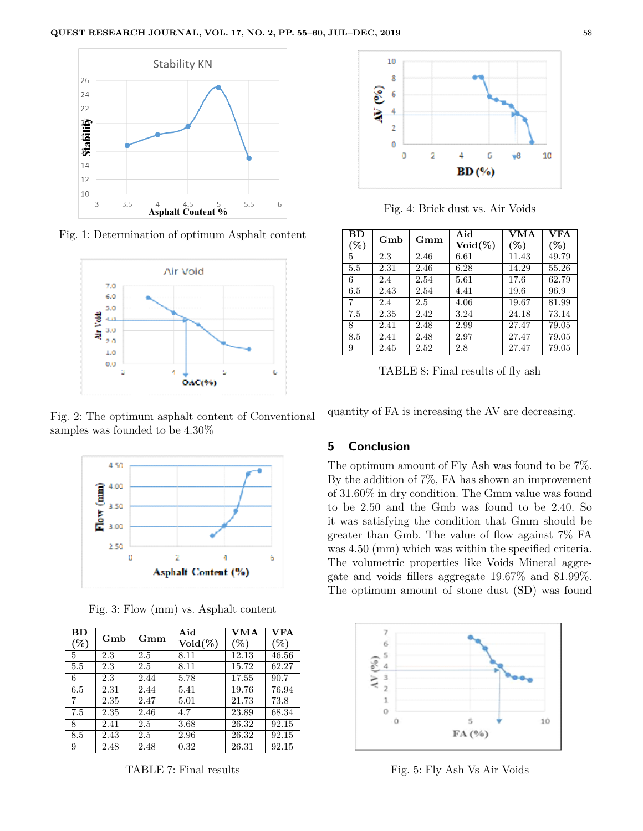

Fig. 1: Determination of optimum Asphalt content



Fig. 2: The optimum asphalt content of Conventional samples was founded to be 4.30%



Fig. 3: Flow (mm) vs. Asphalt content

| ВD  |      |      | Aid               | VMA    | $\overline{\mathbf{VFA}}$ |
|-----|------|------|-------------------|--------|---------------------------|
| (%) | Gmb  | Gmm  | $\text{Void}(\%)$ | $(\%)$ | $(\%)$                    |
| 5   | 2.3  | 2.5  | 8.11              | 12.13  | 46.56                     |
| 5.5 | 2.3  | 2.5  | 8.11              | 15.72  | 62.27                     |
| 6   | 2.3  | 2.44 | 5.78              | 17.55  | 90.7                      |
| 6.5 | 2.31 | 2.44 | 5.41              | 19.76  | 76.94                     |
| 7   | 2.35 | 2.47 | 5.01              | 21.73  | 73.8                      |
| 7.5 | 2.35 | 2.46 | 4.7               | 23.89  | 68.34                     |
| 8   | 2.41 | 2.5  | 3.68              | 26.32  | 92.15                     |
| 8.5 | 2.43 | 2.5  | 2.96              | 26.32  | 92.15                     |
| 9   | 2.48 | 2.48 | 0.32              | 26.31  | 92.15                     |

TABLE 7: Final results



Fig. 4: Brick dust vs. Air Voids

| BD     | Gmb  | Gmm  | Aid               | <b>VMA</b> | <b>VFA</b> |
|--------|------|------|-------------------|------------|------------|
| $(\%)$ |      |      | $\text{Void}(\%)$ | $(\%)$     | $(\%)$     |
| 5      | 2.3  | 2.46 | 6.61              | 11.43      | 49.79      |
| 5.5    | 2.31 | 2.46 | 6.28              | 14.29      | 55.26      |
| 6      | 2.4  | 2.54 | 5.61              | 17.6       | 62.79      |
| 6.5    | 2.43 | 2.54 | 4.41              | 19.6       | 96.9       |
|        | 2.4  | 2.5  | 4.06              | 19.67      | 81.99      |
| 7.5    | 2.35 | 2.42 | 3.24              | 24.18      | 73.14      |
| 8      | 2.41 | 2.48 | 2.99              | 27.47      | 79.05      |
| 8.5    | 2.41 | 2.48 | 2.97              | 27.47      | 79.05      |
| 9      | 2.45 | 2.52 | 2.8               | 27.47      | 79.05      |

TABLE 8: Final results of fly ash

quantity of FA is increasing the AV are decreasing.

### **5 Conclusion**

The optimum amount of Fly Ash was found to be 7%. By the addition of 7%, FA has shown an improvement of 31.60% in dry condition. The Gmm value was found to be 2.50 and the Gmb was found to be 2.40. So it was satisfying the condition that Gmm should be greater than Gmb. The value of flow against 7% FA was 4.50 (mm) which was within the specified criteria. The volumetric properties like Voids Mineral aggregate and voids fillers aggregate 19.67% and 81.99%. The optimum amount of stone dust (SD) was found



Fig. 5: Fly Ash Vs Air Voids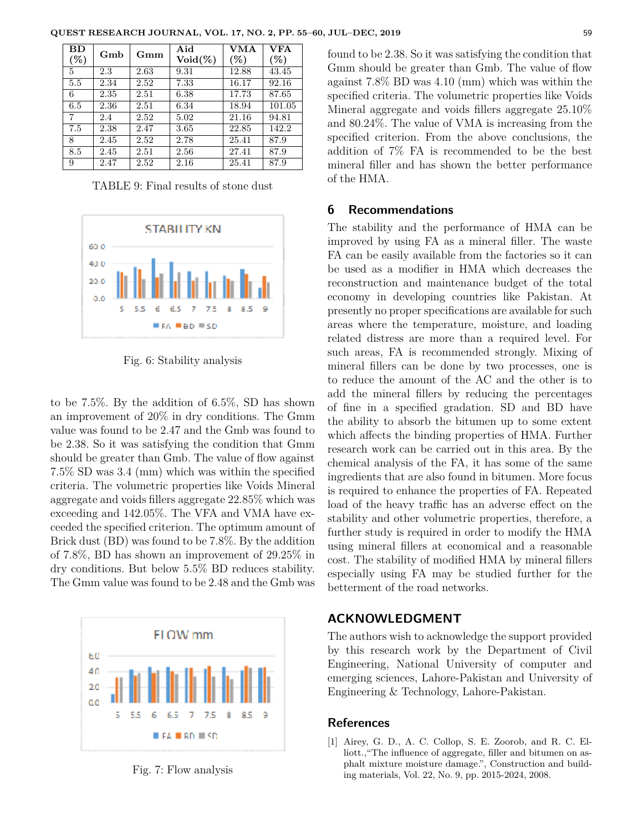| ${\bf BD}$ | Gmb  |      | Aid               | VMA   | <b>VFA</b> |
|------------|------|------|-------------------|-------|------------|
| (%)        |      | Gmm  | $\text{Void}(\%)$ | (%)   | (%)        |
| 5          | 2.3  | 2.63 | 9.31              | 12.88 | 43.45      |
| 5.5        | 2.34 | 2.52 | 7.33              | 16.17 | 92.16      |
| 6          | 2.35 | 2.51 | 6.38              | 17.73 | 87.65      |
| 6.5        | 2.36 | 2.51 | 6.34              | 18.94 | 101.05     |
| 7          | 2.4  | 2.52 | 5.02              | 21.16 | 94.81      |
| 7.5        | 2.38 | 2.47 | 3.65              | 22.85 | 142.2      |
| 8          | 2.45 | 2.52 | 2.78              | 25.41 | 87.9       |
| 8.5        | 2.45 | 2.51 | 2.56              | 27.41 | 87.9       |
| 9          | 2.47 | 2.52 | 2.16              | 25.41 | 87.9       |

**QUEST RESEARCH JOURNAL, VOL. 17, NO. 2, PP. 55–60, JUL–DEC, 2019** 59

TABLE 9: Final results of stone dust



Fig. 6: Stability analysis

to be 7.5%. By the addition of 6.5%, SD has shown an improvement of 20% in dry conditions. The Gmm value was found to be 2.47 and the Gmb was found to be 2.38. So it was satisfying the condition that Gmm should be greater than Gmb. The value of flow against 7.5% SD was 3.4 (mm) which was within the specified criteria. The volumetric properties like Voids Mineral aggregate and voids fillers aggregate 22.85% which was exceeding and 142.05%. The VFA and VMA have exceeded the specified criterion. The optimum amount of Brick dust (BD) was found to be 7.8%. By the addition of 7.8%, BD has shown an improvement of 29.25% in dry conditions. But below 5.5% BD reduces stability. The Gmm value was found to be 2.48 and the Gmb was



Fig. 7: Flow analysis

found to be 2.38. So it was satisfying the condition that Gmm should be greater than Gmb. The value of flow against 7.8% BD was 4.10 (mm) which was within the specified criteria. The volumetric properties like Voids Mineral aggregate and voids fillers aggregate 25.10% and 80.24%. The value of VMA is increasing from the specified criterion. From the above conclusions, the addition of 7% FA is recommended to be the best mineral filler and has shown the better performance of the HMA.

#### **6 Recommendations**

The stability and the performance of HMA can be improved by using FA as a mineral filler. The waste FA can be easily available from the factories so it can be used as a modifier in HMA which decreases the reconstruction and maintenance budget of the total economy in developing countries like Pakistan. At presently no proper specifications are available for such areas where the temperature, moisture, and loading related distress are more than a required level. For such areas, FA is recommended strongly. Mixing of mineral fillers can be done by two processes, one is to reduce the amount of the AC and the other is to add the mineral fillers by reducing the percentages of fine in a specified gradation. SD and BD have the ability to absorb the bitumen up to some extent which affects the binding properties of HMA. Further research work can be carried out in this area. By the chemical analysis of the FA, it has some of the same ingredients that are also found in bitumen. More focus is required to enhance the properties of FA. Repeated load of the heavy traffic has an adverse effect on the stability and other volumetric properties, therefore, a further study is required in order to modify the HMA using mineral fillers at economical and a reasonable cost. The stability of modified HMA by mineral fillers especially using FA may be studied further for the betterment of the road networks.

# **ACKNOWLEDGMENT**

The authors wish to acknowledge the support provided by this research work by the Department of Civil Engineering, National University of computer and emerging sciences, Lahore-Pakistan and University of Engineering & Technology, Lahore-Pakistan.

#### **References**

[1] Airey, G. D., A. C. Collop, S. E. Zoorob, and R. C. Elliott., "The influence of aggregate, filler and bitumen on asphalt mixture moisture damage.", Construction and building materials, Vol. 22, No. 9, pp. 2015-2024, 2008.